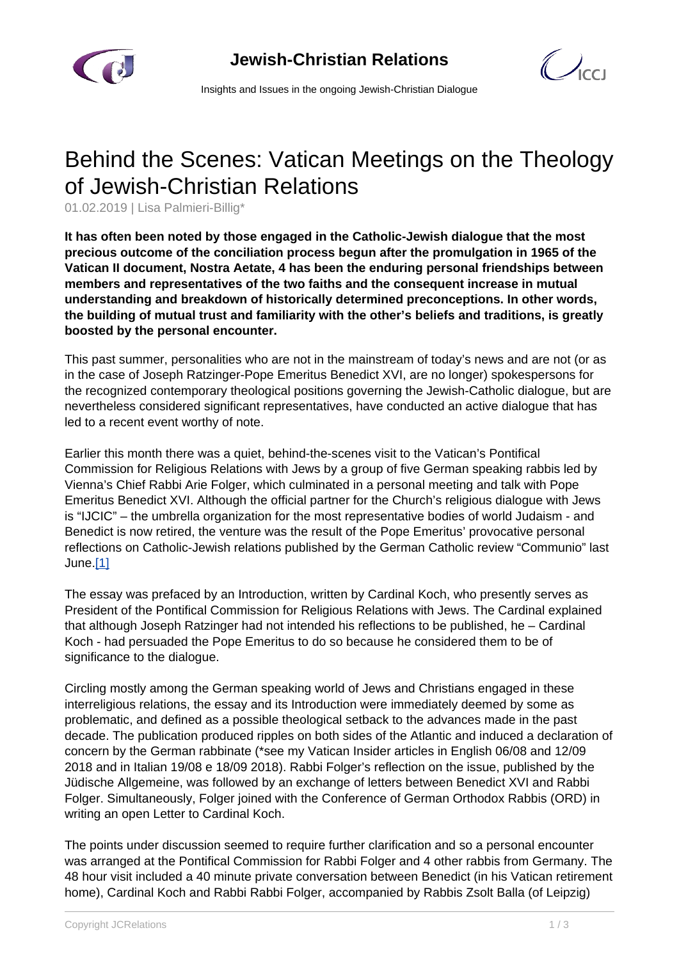

 $\bigcup_{C}$ 

Insights and Issues in the ongoing Jewish-Christian Dialogue

## Behind the Scenes: Vatican Meetings on the Theology of Jewish-Christian Relations

01.02.2019 | Lisa Palmieri-Billig\*

**It has often been noted by those engaged in the Catholic-Jewish dialogue that the most precious outcome of the conciliation process begun after the promulgation in 1965 of the Vatican II document, Nostra Aetate, 4 has been the enduring personal friendships between members and representatives of the two faiths and the consequent increase in mutual understanding and breakdown of historically determined preconceptions. In other words, the building of mutual trust and familiarity with the other's beliefs and traditions, is greatly boosted by the personal encounter.**

This past summer, personalities who are not in the mainstream of today's news and are not (or as in the case of Joseph Ratzinger-Pope Emeritus Benedict XVI, are no longer) spokespersons for the recognized contemporary theological positions governing the Jewish-Catholic dialogue, but are nevertheless considered significant representatives, have conducted an active dialogue that has led to a recent event worthy of note.

Earlier this month there was a quiet, behind-the-scenes visit to the Vatican's Pontifical Commission for Religious Relations with Jews by a group of five German speaking rabbis led by Vienna's Chief Rabbi Arie Folger, which culminated in a personal meeting and talk with Pope Emeritus Benedict XVI. Although the official partner for the Church's religious dialogue with Jews is "IJCIC" – the umbrella organization for the most representative bodies of world Judaism - and Benedict is now retired, the venture was the result of the Pope Emeritus' provocative personal reflections on Catholic-Jewish relations published by the German Catholic review "Communio" last June.[1]

The essay was prefaced by an Introduction, written by Cardinal Koch, who presently serves as President of the Pontifical Commission for Religious Relations with Jews. The Cardinal explained that although Joseph Ratzinger had not intended his reflections to be published, he – Cardinal Koch - had persuaded the Pope Emeritus to do so because he considered them to be of significance to the dialogue.

Circling mostly among the German speaking world of Jews and Christians engaged in these interreligious relations, the essay and its Introduction were immediately deemed by some as problematic, and defined as a possible theological setback to the advances made in the past decade. The publication produced ripples on both sides of the Atlantic and induced a declaration of concern by the German rabbinate (\*see my Vatican Insider articles in English 06/08 and 12/09 2018 and in Italian 19/08 e 18/09 2018). Rabbi Folger's reflection on the issue, published by the Jüdische Allgemeine, was followed by an exchange of letters between Benedict XVI and Rabbi Folger. Simultaneously, Folger joined with the Conference of German Orthodox Rabbis (ORD) in writing an open Letter to Cardinal Koch.

The points under discussion seemed to require further clarification and so a personal encounter was arranged at the Pontifical Commission for Rabbi Folger and 4 other rabbis from Germany. The 48 hour visit included a 40 minute private conversation between Benedict (in his Vatican retirement home), Cardinal Koch and Rabbi Rabbi Folger, accompanied by Rabbis Zsolt Balla (of Leipzig)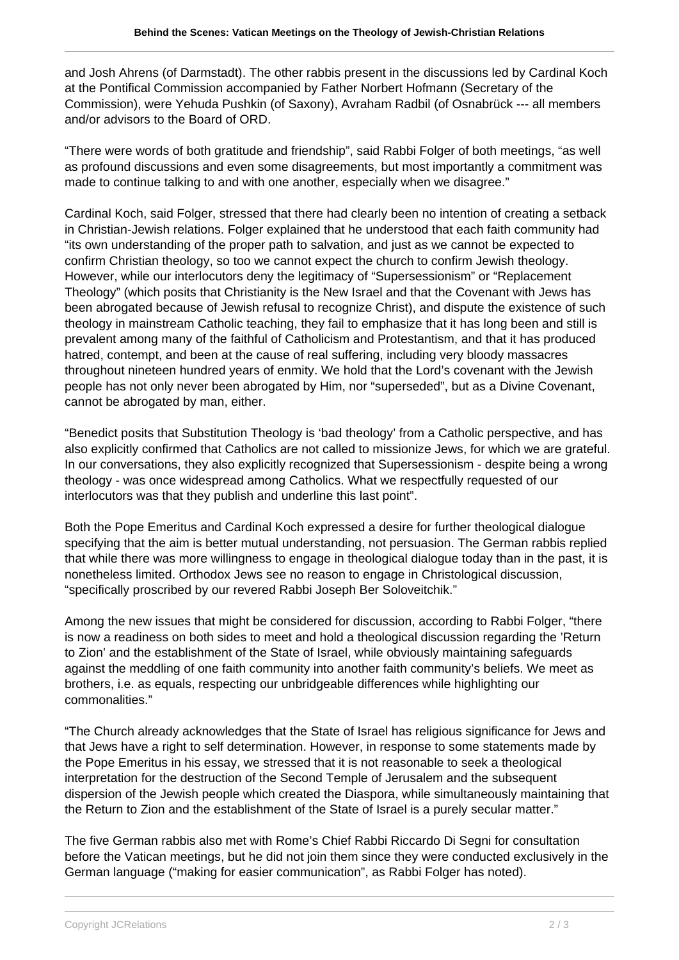and Josh Ahrens (of Darmstadt). The other rabbis present in the discussions led by Cardinal Koch at the Pontifical Commission accompanied by Father Norbert Hofmann (Secretary of the Commission), were Yehuda Pushkin (of Saxony), Avraham Radbil (of Osnabrück --- all members and/or advisors to the Board of ORD.

"There were words of both gratitude and friendship", said Rabbi Folger of both meetings, "as well as profound discussions and even some disagreements, but most importantly a commitment was made to continue talking to and with one another, especially when we disagree."

Cardinal Koch, said Folger, stressed that there had clearly been no intention of creating a setback in Christian-Jewish relations. Folger explained that he understood that each faith community had "its own understanding of the proper path to salvation, and just as we cannot be expected to confirm Christian theology, so too we cannot expect the church to confirm Jewish theology. However, while our interlocutors deny the legitimacy of "Supersessionism" or "Replacement Theology" (which posits that Christianity is the New Israel and that the Covenant with Jews has been abrogated because of Jewish refusal to recognize Christ), and dispute the existence of such theology in mainstream Catholic teaching, they fail to emphasize that it has long been and still is prevalent among many of the faithful of Catholicism and Protestantism, and that it has produced hatred, contempt, and been at the cause of real suffering, including very bloody massacres throughout nineteen hundred years of enmity. We hold that the Lord's covenant with the Jewish people has not only never been abrogated by Him, nor "superseded", but as a Divine Covenant, cannot be abrogated by man, either.

"Benedict posits that Substitution Theology is 'bad theology' from a Catholic perspective, and has also explicitly confirmed that Catholics are not called to missionize Jews, for which we are grateful. In our conversations, they also explicitly recognized that Supersessionism - despite being a wrong theology - was once widespread among Catholics. What we respectfully requested of our interlocutors was that they publish and underline this last point".

Both the Pope Emeritus and Cardinal Koch expressed a desire for further theological dialogue specifying that the aim is better mutual understanding, not persuasion. The German rabbis replied that while there was more willingness to engage in theological dialogue today than in the past, it is nonetheless limited. Orthodox Jews see no reason to engage in Christological discussion, "specifically proscribed by our revered Rabbi Joseph Ber Soloveitchik."

Among the new issues that might be considered for discussion, according to Rabbi Folger, "there is now a readiness on both sides to meet and hold a theological discussion regarding the 'Return to Zion' and the establishment of the State of Israel, while obviously maintaining safeguards against the meddling of one faith community into another faith community's beliefs. We meet as brothers, i.e. as equals, respecting our unbridgeable differences while highlighting our commonalities."

"The Church already acknowledges that the State of Israel has religious significance for Jews and that Jews have a right to self determination. However, in response to some statements made by the Pope Emeritus in his essay, we stressed that it is not reasonable to seek a theological interpretation for the destruction of the Second Temple of Jerusalem and the subsequent dispersion of the Jewish people which created the Diaspora, while simultaneously maintaining that the Return to Zion and the establishment of the State of Israel is a purely secular matter."

The five German rabbis also met with Rome's Chief Rabbi Riccardo Di Segni for consultation before the Vatican meetings, but he did not join them since they were conducted exclusively in the German language ("making for easier communication", as Rabbi Folger has noted).